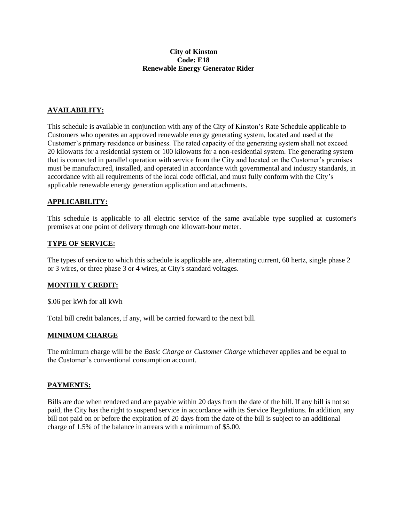### **City of Kinston Code: E18 Renewable Energy Generator Rider**

# **AVAILABILITY:**

This schedule is available in conjunction with any of the City of Kinston's Rate Schedule applicable to Customers who operates an approved renewable energy generating system, located and used at the Customer's primary residence or business. The rated capacity of the generating system shall not exceed 20 kilowatts for a residential system or 100 kilowatts for a non-residential system. The generating system that is connected in parallel operation with service from the City and located on the Customer's premises must be manufactured, installed, and operated in accordance with governmental and industry standards, in accordance with all requirements of the local code official, and must fully conform with the City's applicable renewable energy generation application and attachments.

### **APPLICABILITY:**

This schedule is applicable to all electric service of the same available type supplied at customer's premises at one point of delivery through one kilowatt-hour meter.

#### **TYPE OF SERVICE:**

The types of service to which this schedule is applicable are, alternating current, 60 hertz, single phase 2 or 3 wires, or three phase 3 or 4 wires, at City's standard voltages.

### **MONTHLY CREDIT:**

\$.06 per kWh for all kWh

Total bill credit balances, if any, will be carried forward to the next bill.

#### **MINIMUM CHARGE**

The minimum charge will be the *Basic Charge or Customer Charge* whichever applies and be equal to the Customer's conventional consumption account.

### **PAYMENTS:**

Bills are due when rendered and are payable within 20 days from the date of the bill. If any bill is not so paid, the City has the right to suspend service in accordance with its Service Regulations. In addition, any bill not paid on or before the expiration of 20 days from the date of the bill is subject to an additional charge of 1.5% of the balance in arrears with a minimum of \$5.00.